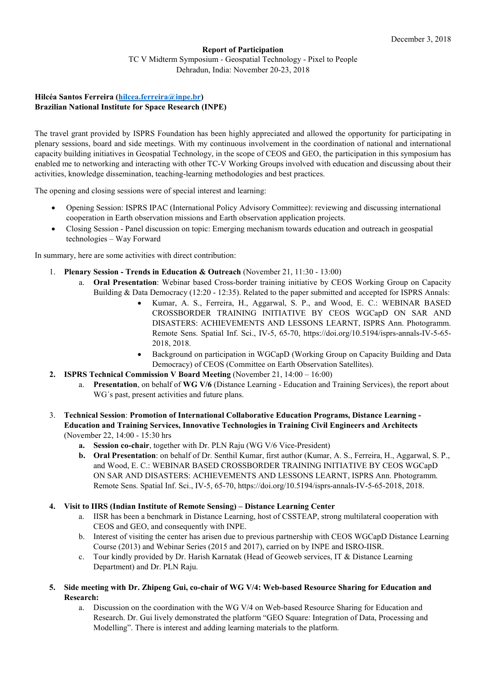## **Report of Participation** TC V Midterm Symposium - Geospatial Technology - Pixel to People Dehradun, India: November 20-23, 2018

## **Hilcéa Santos Ferreira [\(hilcea.ferreira@inpe.br\)](mailto:hilcea.ferreira@inpe.br) Brazilian National Institute for Space Research (INPE)**

The travel grant provided by ISPRS Foundation has been highly appreciated and allowed the opportunity for participating in plenary sessions, board and side meetings. With my continuous involvement in the coordination of national and international capacity building initiatives in Geospatial Technology, in the scope of CEOS and GEO, the participation in this symposium has enabled me to networking and interacting with other TC-V Working Groups involved with education and discussing about their activities, knowledge dissemination, teaching-learning methodologies and best practices.

The opening and closing sessions were of special interest and learning:

- Opening Session: ISPRS IPAC (International Policy Advisory Committee): reviewing and discussing international cooperation in Earth observation missions and Earth observation application projects.
- Closing Session Panel discussion on topic: Emerging mechanism towards education and outreach in geospatial technologies – Way Forward

In summary, here are some activities with direct contribution:

- 1. **Plenary Session - Trends in Education & Outreach** (November 21, 11:30 13:00)
	- a. **Oral Presentation**: Webinar based Cross-border training initiative by CEOS Working Group on Capacity Building & Data Democracy (12:20 - 12:35). Related to the paper submitted and accepted for ISPRS Annals:
		- Kumar, A. S., Ferreira, H., Aggarwal, S. P., and Wood, E. C.: WEBINAR BASED CROSSBORDER TRAINING INITIATIVE BY CEOS WGCapD ON SAR AND DISASTERS: ACHIEVEMENTS AND LESSONS LEARNT, ISPRS Ann. Photogramm. Remote Sens. Spatial Inf. Sci., IV-5, 65-70, https://doi.org/10.5194/isprs-annals-IV-5-65- 2018, 2018.
		- Background on participation in WGCapD (Working Group on Capacity Building and Data Democracy) of CEOS (Committee on Earth Observation Satellites).
- **2. ISPRS Technical Commission V Board Meeting** (November 21, 14:00 16:00)
	- a. **Presentation**, on behalf of **WG V/6** (Distance Learning Education and Training Services), the report about WG´s past, present activities and future plans.
- 3. **Technical Session**: **Promotion of International Collaborative Education Programs, Distance Learning - Education and Training Services, Innovative Technologies in Training Civil Engineers and Architects** (November 22, 14:00 - 15:30 hrs
	- **a. Session co-chair**, together with Dr. PLN Raju (WG V/6 Vice-President)
	- **b. Oral Presentation**: on behalf of Dr. Senthil Kumar, first author (Kumar, A. S., Ferreira, H., Aggarwal, S. P., and Wood, E. C.: WEBINAR BASED CROSSBORDER TRAINING INITIATIVE BY CEOS WGCapD ON SAR AND DISASTERS: ACHIEVEMENTS AND LESSONS LEARNT, ISPRS Ann. Photogramm. Remote Sens. Spatial Inf. Sci., IV-5, 65-70, https://doi.org/10.5194/isprs-annals-IV-5-65-2018, 2018.

## **4. Visit to IIRS (Indian Institute of Remote Sensing) – Distance Learning Center**

- a. IISR has been a benchmark in Distance Learning, host of CSSTEAP, strong multilateral cooperation with CEOS and GEO, and consequently with INPE.
- b. Interest of visiting the center has arisen due to previous partnership with CEOS WGCapD Distance Learning Course (2013) and Webinar Series (2015 and 2017), carried on by INPE and ISRO-IISR.
- c. Tour kindly provided by Dr. Harish Karnatak (Head of Geoweb services, IT & Distance Learning Department) and Dr. PLN Raju.
- **5. Side meeting with Dr. Zhipeng Gui, co-chair of WG V/4: Web-based Resource Sharing for Education and Research:**
	- a. Discussion on the coordination with the WG V/4 on Web-based Resource Sharing for Education and Research. Dr. Gui lively demonstrated the platform "GEO Square: Integration of Data, Processing and Modelling". There is interest and adding learning materials to the platform.